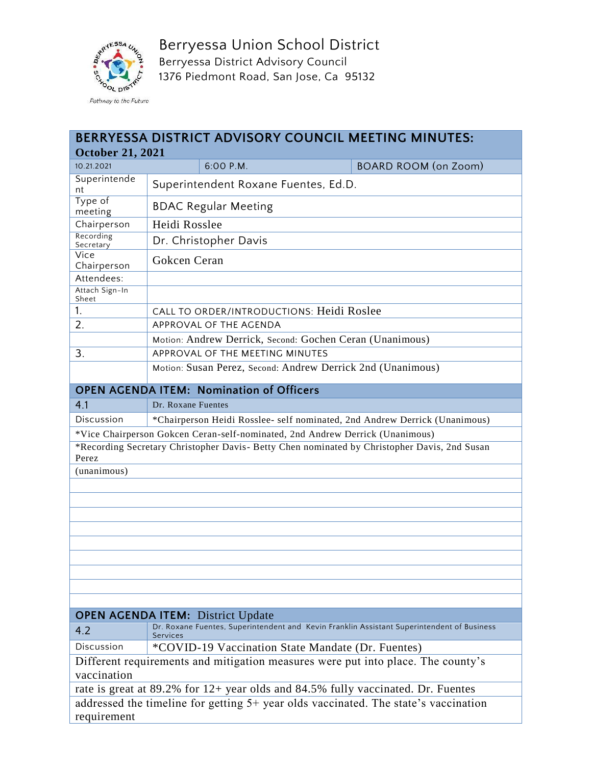

Berryessa Union School District Berryessa District Advisory Council 1376 Piedmont Road, San Jose, Ca 95132

| BERRYESSA DISTRICT ADVISORY COUNCIL MEETING MINUTES:                                                                                   |                                                                            |                                      |                                                                                              |  |  |  |
|----------------------------------------------------------------------------------------------------------------------------------------|----------------------------------------------------------------------------|--------------------------------------|----------------------------------------------------------------------------------------------|--|--|--|
| <b>October 21, 2021</b>                                                                                                                |                                                                            |                                      |                                                                                              |  |  |  |
| 10.21.2021                                                                                                                             |                                                                            | 6:00 P.M.                            | <b>BOARD ROOM (on Zoom)</b>                                                                  |  |  |  |
| Superintende<br>nt                                                                                                                     |                                                                            | Superintendent Roxane Fuentes, Ed.D. |                                                                                              |  |  |  |
| Type of<br>meeting                                                                                                                     |                                                                            | <b>BDAC Regular Meeting</b>          |                                                                                              |  |  |  |
| Chairperson                                                                                                                            | Heidi Rosslee                                                              |                                      |                                                                                              |  |  |  |
| Recording<br>Secretary                                                                                                                 | Dr. Christopher Davis                                                      |                                      |                                                                                              |  |  |  |
| Vice<br>Chairperson                                                                                                                    | Gokcen Ceran                                                               |                                      |                                                                                              |  |  |  |
| Attendees:                                                                                                                             |                                                                            |                                      |                                                                                              |  |  |  |
| Attach Sign-In<br>Sheet                                                                                                                |                                                                            |                                      |                                                                                              |  |  |  |
| 1.                                                                                                                                     | CALL TO ORDER/INTRODUCTIONS: Heidi Roslee                                  |                                      |                                                                                              |  |  |  |
| 2.                                                                                                                                     | APPROVAL OF THE AGENDA                                                     |                                      |                                                                                              |  |  |  |
|                                                                                                                                        | Motion: Andrew Derrick, Second: Gochen Ceran (Unanimous)                   |                                      |                                                                                              |  |  |  |
| 3.                                                                                                                                     | APPROVAL OF THE MEETING MINUTES                                            |                                      |                                                                                              |  |  |  |
|                                                                                                                                        | Motion: Susan Perez, Second: Andrew Derrick 2nd (Unanimous)                |                                      |                                                                                              |  |  |  |
| <b>OPEN AGENDA ITEM: Nomination of Officers</b>                                                                                        |                                                                            |                                      |                                                                                              |  |  |  |
| 4.1                                                                                                                                    | Dr. Roxane Fuentes                                                         |                                      |                                                                                              |  |  |  |
| Discussion                                                                                                                             | *Chairperson Heidi Rosslee- self nominated, 2nd Andrew Derrick (Unanimous) |                                      |                                                                                              |  |  |  |
|                                                                                                                                        |                                                                            |                                      | *Vice Chairperson Gokcen Ceran-self-nominated, 2nd Andrew Derrick (Unanimous)                |  |  |  |
| Perez                                                                                                                                  |                                                                            |                                      | *Recording Secretary Christopher Davis- Betty Chen nominated by Christopher Davis, 2nd Susan |  |  |  |
| (unanimous)                                                                                                                            |                                                                            |                                      |                                                                                              |  |  |  |
|                                                                                                                                        |                                                                            |                                      |                                                                                              |  |  |  |
|                                                                                                                                        |                                                                            |                                      |                                                                                              |  |  |  |
|                                                                                                                                        |                                                                            |                                      |                                                                                              |  |  |  |
|                                                                                                                                        |                                                                            |                                      |                                                                                              |  |  |  |
|                                                                                                                                        |                                                                            |                                      |                                                                                              |  |  |  |
|                                                                                                                                        |                                                                            |                                      |                                                                                              |  |  |  |
|                                                                                                                                        |                                                                            |                                      |                                                                                              |  |  |  |
|                                                                                                                                        |                                                                            |                                      |                                                                                              |  |  |  |
|                                                                                                                                        |                                                                            |                                      |                                                                                              |  |  |  |
| <b>OPEN AGENDA ITEM:</b> District Update<br>Dr. Roxane Fuentes, Superintendent and Kevin Franklin Assistant Superintendent of Business |                                                                            |                                      |                                                                                              |  |  |  |
| 4.2                                                                                                                                    | <b>Services</b>                                                            |                                      |                                                                                              |  |  |  |
| Discussion                                                                                                                             | *COVID-19 Vaccination State Mandate (Dr. Fuentes)                          |                                      |                                                                                              |  |  |  |
| Different requirements and mitigation measures were put into place. The county's<br>vaccination                                        |                                                                            |                                      |                                                                                              |  |  |  |
| rate is great at 89.2% for 12+ year olds and 84.5% fully vaccinated. Dr. Fuentes                                                       |                                                                            |                                      |                                                                                              |  |  |  |
| addressed the timeline for getting 5+ year olds vaccinated. The state's vaccination                                                    |                                                                            |                                      |                                                                                              |  |  |  |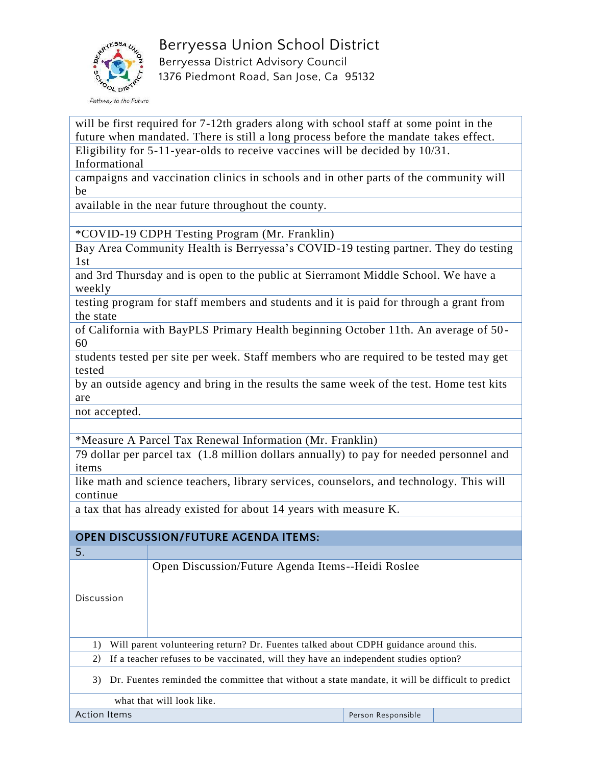

will be first required for 7-12th graders along with school staff at some point in the future when mandated. There is still a long process before the mandate takes effect. Eligibility for 5-11-year-olds to receive vaccines will be decided by 10/31. Informational

campaigns and vaccination clinics in schools and in other parts of the community will be

available in the near future throughout the county.

\*COVID-19 CDPH Testing Program (Mr. Franklin)

Bay Area Community Health is Berryessa's COVID-19 testing partner. They do testing 1st

and 3rd Thursday and is open to the public at Sierramont Middle School. We have a weekly

testing program for staff members and students and it is paid for through a grant from the state

of California with BayPLS Primary Health beginning October 11th. An average of 50- 60

students tested per site per week. Staff members who are required to be tested may get tested

by an outside agency and bring in the results the same week of the test. Home test kits are

not accepted.

\*Measure A Parcel Tax Renewal Information (Mr. Franklin)

79 dollar per parcel tax (1.8 million dollars annually) to pay for needed personnel and items

like math and science teachers, library services, counselors, and technology. This will continue

a tax that has already existed for about 14 years with measure K.

## **OPEN DISCUSSION/FUTURE AGENDA ITEMS:**

| Open Discussion/Future Agenda Items--Heidi Roslee<br>Discussion<br>Will parent volunteering return? Dr. Fuentes talked about CDPH guidance around this.<br>1)<br>2)<br>If a teacher refuses to be vaccinated, will they have an independent studies option?<br>Dr. Fuentes reminded the committee that without a state mandate, it will be difficult to predict<br>3)<br>what that will look like. | 5. |  |  |  |  |  |
|----------------------------------------------------------------------------------------------------------------------------------------------------------------------------------------------------------------------------------------------------------------------------------------------------------------------------------------------------------------------------------------------------|----|--|--|--|--|--|
|                                                                                                                                                                                                                                                                                                                                                                                                    |    |  |  |  |  |  |
|                                                                                                                                                                                                                                                                                                                                                                                                    |    |  |  |  |  |  |
|                                                                                                                                                                                                                                                                                                                                                                                                    |    |  |  |  |  |  |
|                                                                                                                                                                                                                                                                                                                                                                                                    |    |  |  |  |  |  |
|                                                                                                                                                                                                                                                                                                                                                                                                    |    |  |  |  |  |  |
| <b>Action Items</b><br>Person Responsible                                                                                                                                                                                                                                                                                                                                                          |    |  |  |  |  |  |